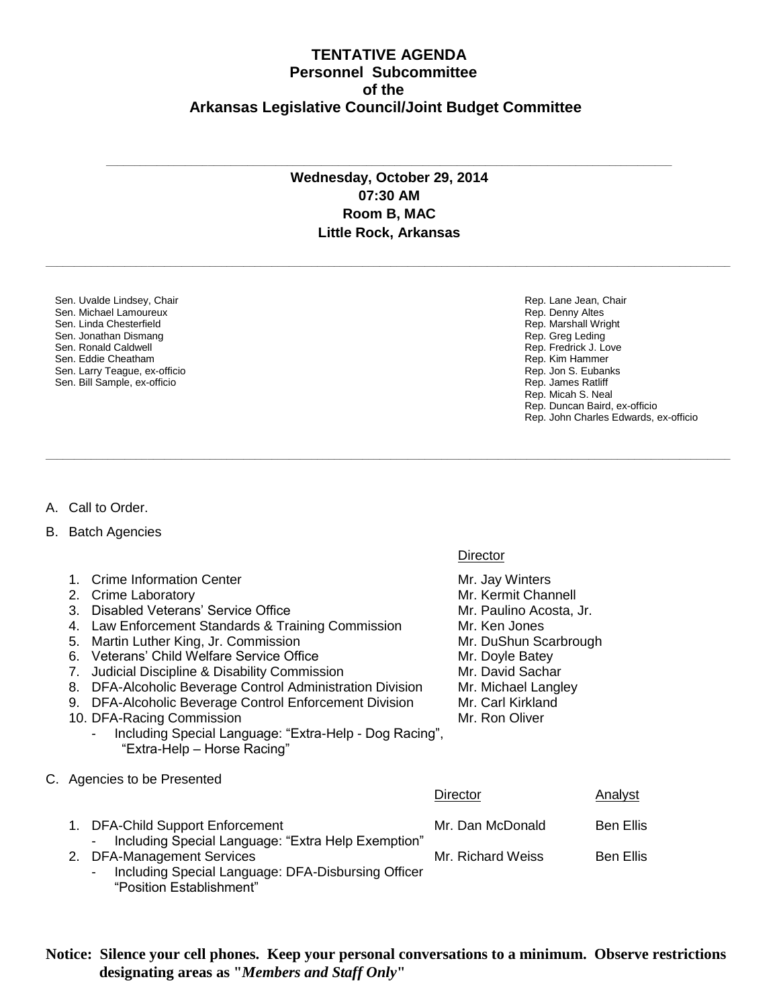## **TENTATIVE AGENDA Personnel Subcommittee of the Arkansas Legislative Council/Joint Budget Committee**

## **Wednesday, October 29, 2014 07:30 AM Room B, MAC Little Rock, Arkansas**

**\_\_\_\_\_\_\_\_\_\_\_\_\_\_\_\_\_\_\_\_\_\_\_\_\_\_\_\_\_\_\_\_\_\_\_\_\_\_\_\_\_\_\_\_\_\_\_\_\_\_\_\_\_\_\_\_\_\_\_\_\_\_\_\_\_\_\_\_\_\_\_\_\_\_\_\_\_\_\_\_\_\_\_\_\_\_\_\_\_\_\_\_\_\_\_\_\_\_\_\_\_\_\_\_\_\_\_\_\_\_\_\_\_\_\_\_\_\_\_\_\_**

**\_\_\_\_\_\_\_\_\_\_\_\_\_\_\_\_\_\_\_\_\_\_\_\_\_\_\_\_\_\_\_\_\_\_\_\_\_\_\_\_\_\_\_\_\_\_\_\_\_\_\_\_\_\_\_\_\_\_\_\_\_\_\_\_\_\_\_\_\_\_\_\_\_\_\_\_\_\_\_\_\_\_\_\_\_\_\_\_\_\_\_\_\_\_\_\_\_\_\_\_\_\_\_\_\_\_\_\_\_\_\_\_\_\_\_\_\_\_\_\_\_**

**\_\_\_\_\_\_\_\_\_\_\_\_\_\_\_\_\_\_\_\_\_\_\_\_\_\_\_\_\_\_\_\_\_\_\_\_\_\_\_\_\_\_\_\_\_\_\_\_\_\_\_\_\_\_\_\_\_\_\_\_\_\_\_\_\_\_\_\_\_\_\_\_\_\_\_\_\_\_\_\_\_\_\_\_\_\_\_\_\_\_\_\_\_\_\_\_\_\_\_\_**

Sen. Uvalde Lindsey, Chair Sen. Michael Lamoureux Sen. Linda Chesterfield Sen. Jonathan Dismang Sen. Ronald Caldwell Sen. Eddie Cheatham Sen. Larry Teague, ex-officio Sen. Bill Sample, ex-officio

Rep. Lane Jean, Chair Rep. Denny Altes Rep. Marshall Wright Rep. Greg Leding Rep. Fredrick J. Love Rep. Kim Hammer Rep. Jon S. Eubanks Rep. James Ratliff Rep. Micah S. Neal Rep. Duncan Baird, ex-officio Rep. John Charles Edwards, ex-officio

## A. Call to Order.

- B. Batch Agencies
	- 1. Crime Information Center Mr. Jay Winters
	- 2. Crime Laboratory **Mr. Kermit Channell** Mr. Kermit Channell
	- 3. Disabled Veterans' Service Office Mr. Paulino Acosta, Jr.
	- 4. Law Enforcement Standards & Training Commission Mr. Ken Jones
	- 5. Martin Luther King, Jr. Commission Mr. DuShun Scarbrough
	- 6. Veterans' Child Welfare Service Office Mr. Doyle Batey
	- 7. Judicial Discipline & Disability Commission Mr. David Sachar
	- 8. DFA-Alcoholic Beverage Control Administration Division Mr. Michael Langley
	- 9. DFA-Alcoholic Beverage Control Enforcement Division Mr. Carl Kirkland
	- 10. DFA-Racing Commission **Mr. Ron** Oliver
		- Including Special Language: "Extra-Help Dog Racing", "Extra-Help – Horse Racing"
- C. Agencies to be Presented

|                                                                                  | Director          | Analyst          |
|----------------------------------------------------------------------------------|-------------------|------------------|
| 1. DFA-Child Support Enforcement                                                 | Mr. Dan McDonald  | <b>Ben Ellis</b> |
| Including Special Language: "Extra Help Exemption"<br>2. DFA-Management Services | Mr. Richard Weiss | <b>Ben Ellis</b> |
| Including Special Language: DFA-Disbursing Officer<br>"Position Establishment"   |                   |                  |

**Notice: Silence your cell phones. Keep your personal conversations to a minimum. Observe restrictions designating areas as "***Members and Staff Only***"**

## **Director**